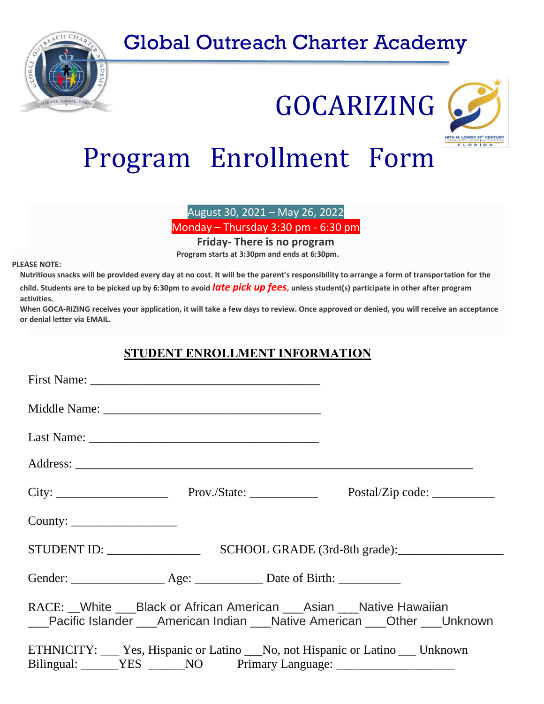Global Outreach Charter Academy







Program Enrollment Form

August 30, 2021 – May 26, 2022 Monday – Thursday 3:30 pm - 6:30 pm

**Friday- There is no program** 

**Program starts at 3:30pm and ends at 6:30pm.**

**PLEASE NOTE:**

**Nutritious snacks will be provided every day at no cost. It will be the parent's responsibility to arrange a form of transportation for the** 

**child. Students are to be picked up by 6:30pm to avoid** *late pick up fees***, unless student(s) participate in other after program activities.**

**When GOCA-RIZING receives your application, it will take a few days to review. Once approved or denied, you will receive an acceptance or denial letter via EMAIL.** 

# **STUDENT ENROLLMENT INFORMATION**

| $City:$ Prov./State: 2000.000 Prov./State: 2000.000 Prov./State: 2000.000 Prov./State: 2000.000 Prov./State: 2000.000 Prov./State: 2000.000 Prov./State: 2000.000 Prov./State: 2000.000 Prov./State: 2000.000 Prov./State: 2000. |                                                                                                 |
|----------------------------------------------------------------------------------------------------------------------------------------------------------------------------------------------------------------------------------|-------------------------------------------------------------------------------------------------|
| County: $\_\_\_\_\_\_\_\_\_\_\_\_\_\_$                                                                                                                                                                                           |                                                                                                 |
|                                                                                                                                                                                                                                  |                                                                                                 |
|                                                                                                                                                                                                                                  |                                                                                                 |
| RACE: White Black or African American Asian Native Hawaiian                                                                                                                                                                      | <b>Example:</b> Pacific Islander <u>Camerican Indian Chative American Chert Chating Unknown</u> |
| ETHNICITY: ___ Yes, Hispanic or Latino ___ No, not Hispanic or Latino ___ Unknown<br>Bilingual: ______YES ______NO Primary Language: ________________________________                                                            |                                                                                                 |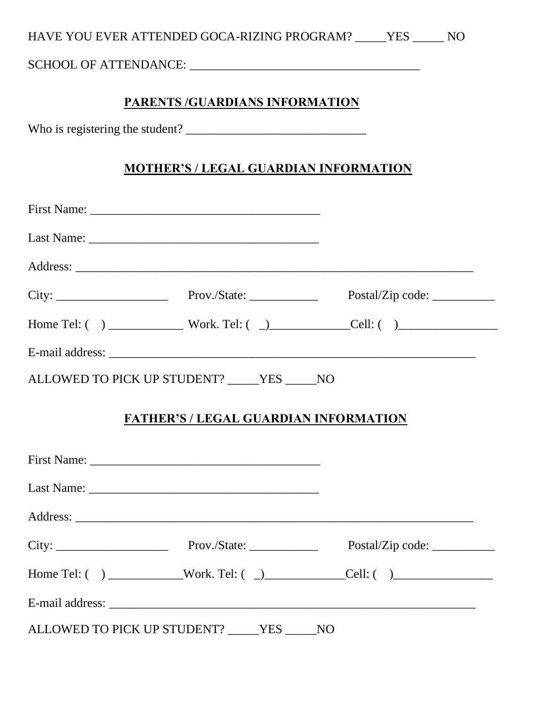| HAVE YOU EVER ATTENDED GOCA-RIZING PROGRAM? _____ YES _____ NO                                                                               |  |  |  |  |  |
|----------------------------------------------------------------------------------------------------------------------------------------------|--|--|--|--|--|
|                                                                                                                                              |  |  |  |  |  |
| PARENTS /GUARDIANS INFORMATION                                                                                                               |  |  |  |  |  |
|                                                                                                                                              |  |  |  |  |  |
| <b>MOTHER'S / LEGAL GUARDIAN INFORMATION</b>                                                                                                 |  |  |  |  |  |
|                                                                                                                                              |  |  |  |  |  |
|                                                                                                                                              |  |  |  |  |  |
|                                                                                                                                              |  |  |  |  |  |
|                                                                                                                                              |  |  |  |  |  |
|                                                                                                                                              |  |  |  |  |  |
|                                                                                                                                              |  |  |  |  |  |
| ALLOWED TO PICK UP STUDENT? _____ YES _____ NO                                                                                               |  |  |  |  |  |
| <b>FATHER'S / LEGAL GUARDIAN INFORMATION</b>                                                                                                 |  |  |  |  |  |
|                                                                                                                                              |  |  |  |  |  |
|                                                                                                                                              |  |  |  |  |  |
|                                                                                                                                              |  |  |  |  |  |
|                                                                                                                                              |  |  |  |  |  |
| Home Tel: $\begin{pmatrix} 0 & 1 \end{pmatrix}$ Work. Tel: $\begin{pmatrix} 0 & 1 \end{pmatrix}$ Cell: $\begin{pmatrix} 0 & 1 \end{pmatrix}$ |  |  |  |  |  |
|                                                                                                                                              |  |  |  |  |  |
| ALLOWED TO PICK UP STUDENT? _____YES _____NO                                                                                                 |  |  |  |  |  |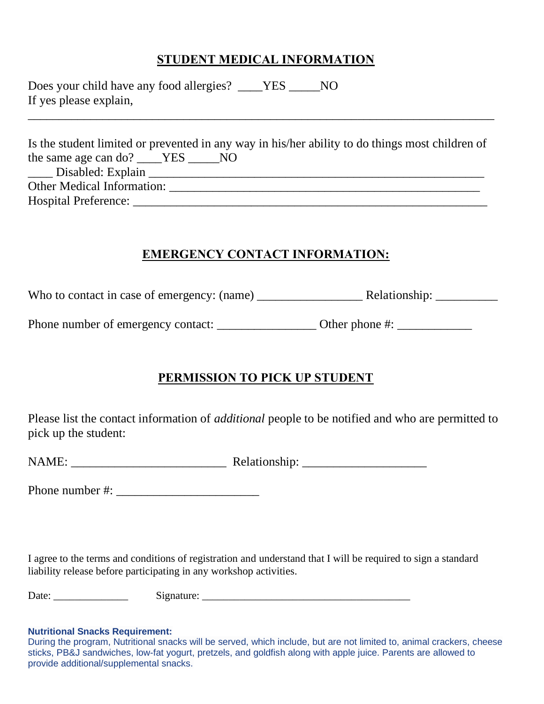# **STUDENT MEDICAL INFORMATION**

| Does your child have any food allergies? ____YES | NO |  |
|--------------------------------------------------|----|--|
| If yes please explain,                           |    |  |

| Is the student limited or prevented in any way in his/her ability to do things most children of |
|-------------------------------------------------------------------------------------------------|
|                                                                                                 |
| ____ Disabled: Explain                                                                          |
| <b>Other Medical Information:</b>                                                               |
| Hospital Preference:                                                                            |

\_\_\_\_\_\_\_\_\_\_\_\_\_\_\_\_\_\_\_\_\_\_\_\_\_\_\_\_\_\_\_\_\_\_\_\_\_\_\_\_\_\_\_\_\_\_\_\_\_\_\_\_\_\_\_\_\_\_\_\_\_\_\_\_\_\_\_\_\_\_\_\_\_\_\_

## **EMERGENCY CONTACT INFORMATION:**

Who to contact in case of emergency: (name) \_\_\_\_\_\_\_\_\_\_\_\_\_\_\_\_\_ Relationship: \_\_\_\_\_\_\_\_\_\_

Phone number of emergency contact: \_\_\_\_\_\_\_\_\_\_\_\_\_\_\_\_ Other phone #: \_\_\_\_\_\_\_\_\_\_\_\_

# **PERMISSION TO PICK UP STUDENT**

Please list the contact information of *additional* people to be notified and who are permitted to pick up the student:

NAME: \_\_\_\_\_\_\_\_\_\_\_\_\_\_\_\_\_\_\_\_\_\_\_\_\_ Relationship: \_\_\_\_\_\_\_\_\_\_\_\_\_\_\_\_\_\_\_\_

Phone number #: \_\_\_\_\_\_\_\_\_\_\_\_\_\_\_\_\_\_\_\_\_\_\_

I agree to the terms and conditions of registration and understand that I will be required to sign a standard liability release before participating in any workshop activities.

| $\overline{\phantom{a}}$<br>$+0.4$<br>л лате<br>s uw<br>. |  |
|-----------------------------------------------------------|--|
|-----------------------------------------------------------|--|

## **Nutritional Snacks Requirement:**

During the program, Nutritional snacks will be served, which include, but are not limited to, animal crackers, cheese sticks, PB&J sandwiches, low-fat yogurt, pretzels, and goldfish along with apple juice. Parents are allowed to provide additional/supplemental snacks.